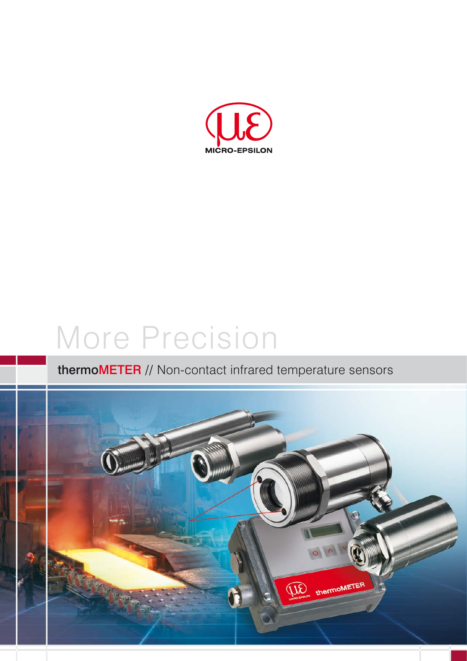

# More Precision

## thermoMETER // Non-contact infrared temperature sensors

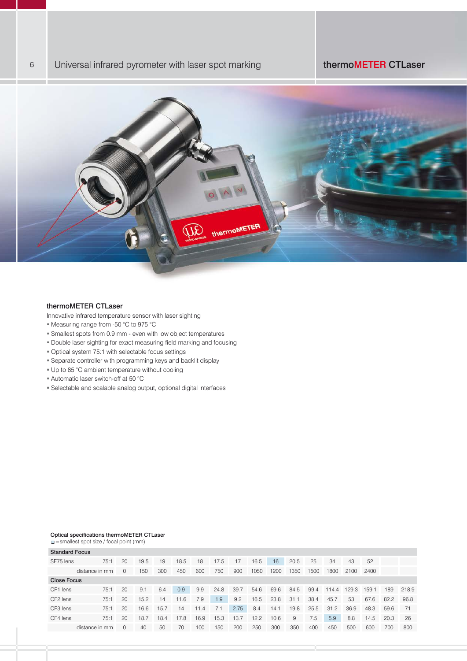

#### thermoMETER CTLaser

Innovative infrared temperature sensor with laser sighting

- Measuring range from -50 °C to 975 °C
- Smallest spots from 0.9 mm even with low object temperatures
- Double laser sighting for exact measuring field marking and focusing
- Optical system 75:1 with selectable focus settings
- Separate controller with programming keys and backlit display
- Up to 85 °C ambient temperature without cooling
- Automatic laser switch-off at 50 °C
- Selectable and scalable analog output, optional digital interfaces

#### Optical specifications thermoMETER CTLaser

=smallest spot size / focal point (mm)

| <b>Standard Focus</b> |                |          |      |      |      |      |      |      |      |      |      |      |       |       |       |      |       |
|-----------------------|----------------|----------|------|------|------|------|------|------|------|------|------|------|-------|-------|-------|------|-------|
| SF75 lens             | 75:1           | 20       | 19.5 | 19   | 18.5 | 18   | 17.5 | 17   | 16.5 | 16   | 20.5 | 25   | 34    | 43    | 52    |      |       |
|                       | distance in mm | 0        | 150  | 300  | 450  | 600  | 750  | 900  | 1050 | 1200 | 1350 | 1500 | 1800  | 2100  | 2400  |      |       |
| <b>Close Focus</b>    |                |          |      |      |      |      |      |      |      |      |      |      |       |       |       |      |       |
| CF1 lens              | 75:1           | 20       | 9.1  | 6.4  | 0.9  | 9.9  | 24.8 | 39.7 | 54.6 | 69.6 | 84.5 | 99.4 | 114.4 | 129.3 | 159.1 | 189  | 218.9 |
| CF <sub>2</sub> lens  | 75:1           | 20       | 15.2 | 14   | 11.6 | 7.9  | 1.9  | 9.2  | 16.5 | 23.8 | 31.1 | 38.4 | 45.7  | 53    | 67.6  | 82.2 | 96.8  |
| CF3 lens              | 75:1           | 20       | 16.6 | 15.7 | 14   | 11.4 | 7.1  | 2.75 | 8.4  | 14.1 | 19.8 | 25.5 | 31.2  | 36.9  | 48.3  | 59.6 | 71    |
| CF4 lens              | 75:1           | 20       | 18.7 | 18.4 | 17.8 | 16.9 | 15.3 | 13.7 | 12.2 | 10.6 | 9    | 7.5  | 5.9   | 8.8   | 14.5  | 20.3 | 26    |
|                       | distance in mm | $\Omega$ | 40   | 50   | 70   | 100  | 150  | 200  | 250  | 300  | 350  | 400  | 450   | 500   | 600   | 700  | 800   |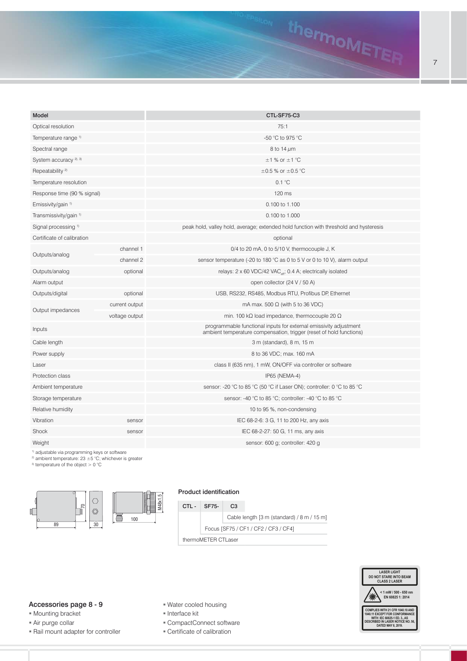

1) adjustable via programming keys or software 2) ambient temperature:  $23 \pm 5$  °C; whichever is greater

3) temperature of the object > 0 °C



#### Product identification



#### Accessories page 8 - 9

- Mounting bracket
- Air purge collar
- 
- Water cooled housing
- **Interface kit**
- CompactConnect software
- Certificate of calibration



thermoMETER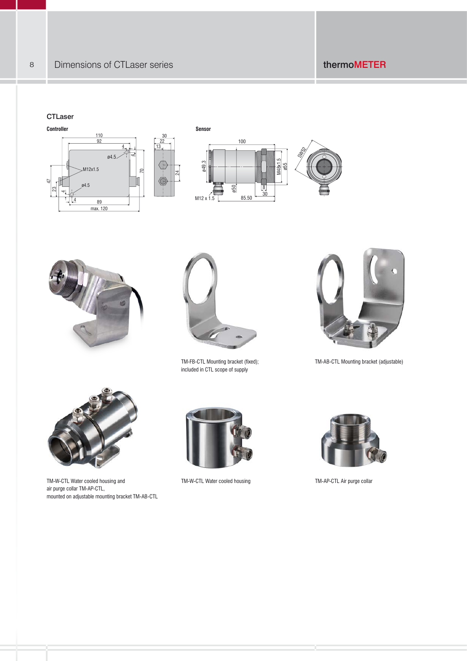#### **CTLaser**









TM-FB-CTL Mounting bracket (fixed); included in CTL scope of supply



TM-AB-CTL Mounting bracket (adjustable)



TM-W-CTL Water cooled housing and TM-W-CTL Water cooled housing TM-AP-CTL Air purge collar air purge collar TM-AP-CTL, mounted on adjustable mounting bracket TM-AB-CTL



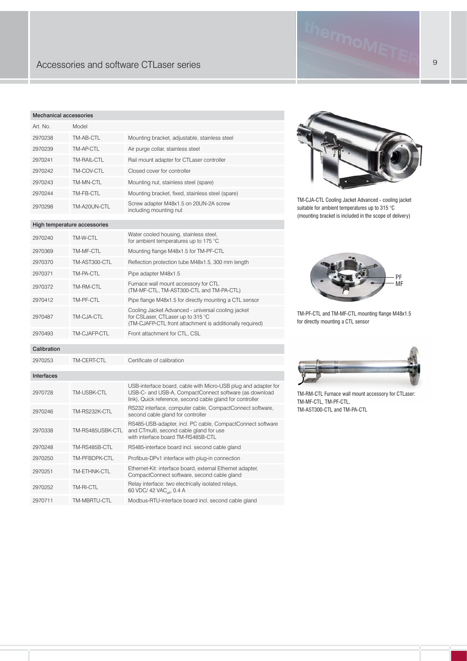## 9 Accessories and software CTLaser series

#### Mechanical accessories

| Art. No. | Model        |                                                                  |
|----------|--------------|------------------------------------------------------------------|
| 2970238  | TM-AB-CTL    | Mounting bracket, adjustable, stainless steel                    |
| 2970239  | TM-AP-CTL    | Air purge collar, stainless steel                                |
| 2970241  | TM-RAIL-CTL  | Rail mount adapter for CTLaser controller                        |
| 2970242  | TM-COV-CTL   | Closed cover for controller                                      |
| 2970243  | TM-MN-CTL    | Mounting nut, stainless steel (spare)                            |
| 2970244  | TM-FB-CTL    | Mounting bracket, fixed, stainless steel (spare)                 |
| 2970298  | TM-A20UN-CTL | Screw adapter M48x1.5 on 20UN-2A screw<br>including mounting nut |

#### High temperature accessories

| High temperature accessories |                  |                                                                                                                                                                                       |  |  |  |  |
|------------------------------|------------------|---------------------------------------------------------------------------------------------------------------------------------------------------------------------------------------|--|--|--|--|
| 2970240                      | TM-W-CTL         | Water cooled housing, stainless steel,<br>for ambient temperatures up to 175 °C                                                                                                       |  |  |  |  |
| 2970369                      | TM-MF-CTL        | Mounting flange M48x1.5 for TM-PF-CTL                                                                                                                                                 |  |  |  |  |
| 2970370                      | TM-AST300-CTL    | Reflection protection tube M48x1.5, 300 mm length                                                                                                                                     |  |  |  |  |
| 2970371                      | TM-PA-CTL        | Pipe adapter M48x1.5                                                                                                                                                                  |  |  |  |  |
| 2970372                      | TM-RM-CTL        | Furnace wall mount accessory for CTL<br>(TM-MF-CTL, TM-AST300-CTL and TM-PA-CTL)                                                                                                      |  |  |  |  |
| 2970412                      | TM-PF-CTL        | Pipe flange M48x1.5 for directly mounting a CTL sensor                                                                                                                                |  |  |  |  |
| 2970487                      | TM-CJA-CTL       | Cooling Jacket Advanced - universal cooling jacket<br>for CSLaser, CTLaser up to 315 °C<br>(TM-CJAFP-CTL front attachment is additionally required)                                   |  |  |  |  |
| 2970493                      | TM-CJAFP-CTL     | Front attachment for CTL, CSL                                                                                                                                                         |  |  |  |  |
| Calibration                  |                  |                                                                                                                                                                                       |  |  |  |  |
| 2970253                      | TM-CERT-CTL      | Certificate of calibration                                                                                                                                                            |  |  |  |  |
| Interfaces                   |                  |                                                                                                                                                                                       |  |  |  |  |
| 2970728                      | TM-USBK-CTL      | USB-interface board, cable with Micro-USB plug and adapter for<br>USB-C- and USB-A, CompactConnect software (as download<br>link), Quick reference, second cable gland for controller |  |  |  |  |
| 2970246                      | TM-RS232K-CTL    | RS232 interface, computer cable, CompactConnect software,<br>second cable gland for controller                                                                                        |  |  |  |  |
| 2970338                      | TM-RS485USBK-CTL | RS485-USB-adapter, incl. PC cable, CompactConnect software<br>and CTmulti, second cable gland for use<br>with interface board TM-RS485B-CTL                                           |  |  |  |  |
| 2970248                      | TM-RS485B-CTL    | RS485-interface board incl. second cable gland                                                                                                                                        |  |  |  |  |
| 2970250                      | TM-PFBDPK-CTL    | Profibus-DPv1 interface with plug-in connection                                                                                                                                       |  |  |  |  |
| 2970251                      | TM-ETHNK-CTL     | Ethernet-Kit: interface board, external Ethernet adapter,<br>CompactConnect software, second cable gland                                                                              |  |  |  |  |
| 2970252                      | TM-RI-CTL        | Relay interface: two electrically isolated relays,<br>60 VDC/ 42 VAC <sub>off</sub> , 0.4 A                                                                                           |  |  |  |  |

#### 2970711 TM-MBRTU-CTL Modbus-RTU-interface board incl. second cable gland



TM-CJA-CTL Cooling Jacket Advanced - cooling jacket suitable for ambient temperatures up to 315 °C (mounting bracket is included in the scope of delivery)



TM-PF-CTL and TM-MF-CTL mounting flange M48x1.5 for directly mounting a CTL sensor



TM-RM-CTL Furnace wall mount accessory for CTLaser: TM-MF-CTL, TM-PF-CTL, TM-AST300-CTL and TM-PA-CTL